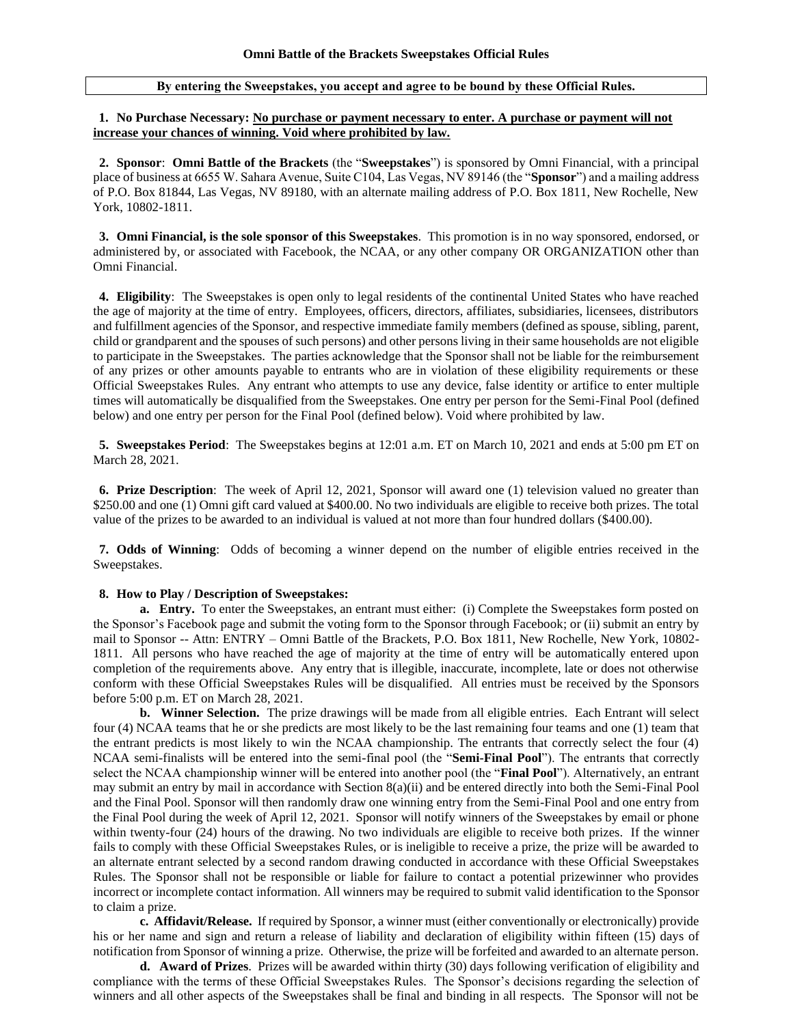## **By entering the Sweepstakes, you accept and agree to be bound by these Official Rules.**

## **1. No Purchase Necessary: No purchase or payment necessary to enter. A purchase or payment will not increase your chances of winning. Void where prohibited by law.**

**2. Sponsor**: **Omni Battle of the Brackets** (the "**Sweepstakes**") is sponsored by Omni Financial, with a principal place of business at 6655 W. Sahara Avenue, Suite C104, Las Vegas, NV 89146 (the "**Sponsor**") and a mailing address of P.O. Box 81844, Las Vegas, NV 89180, with an alternate mailing address of P.O. Box 1811, New Rochelle, New York, 10802-1811.

**3. Omni Financial, is the sole sponsor of this Sweepstakes**. This promotion is in no way sponsored, endorsed, or administered by, or associated with Facebook, the NCAA, or any other company OR ORGANIZATION other than Omni Financial.

**4. Eligibility**: The Sweepstakes is open only to legal residents of the continental United States who have reached the age of majority at the time of entry. Employees, officers, directors, affiliates, subsidiaries, licensees, distributors and fulfillment agencies of the Sponsor, and respective immediate family members (defined as spouse, sibling, parent, child or grandparent and the spouses of such persons) and other persons living in their same households are not eligible to participate in the Sweepstakes. The parties acknowledge that the Sponsor shall not be liable for the reimbursement of any prizes or other amounts payable to entrants who are in violation of these eligibility requirements or these Official Sweepstakes Rules. Any entrant who attempts to use any device, false identity or artifice to enter multiple times will automatically be disqualified from the Sweepstakes. One entry per person for the Semi-Final Pool (defined below) and one entry per person for the Final Pool (defined below). Void where prohibited by law.

**5. Sweepstakes Period**: The Sweepstakes begins at 12:01 a.m. ET on March 10, 2021 and ends at 5:00 pm ET on March 28, 2021.

**6. Prize Description**: The week of April 12, 2021, Sponsor will award one (1) television valued no greater than \$250.00 and one (1) Omni gift card valued at \$400.00. No two individuals are eligible to receive both prizes. The total value of the prizes to be awarded to an individual is valued at not more than four hundred dollars (\$400.00).

**7. Odds of Winning**: Odds of becoming a winner depend on the number of eligible entries received in the Sweepstakes.

## **8. How to Play / Description of Sweepstakes:**

**a.** Entry. To enter the Sweepstakes, an entrant must either: (i) Complete the Sweepstakes form posted on the Sponsor's Facebook page and submit the voting form to the Sponsor through Facebook; or (ii) submit an entry by mail to Sponsor -- Attn: ENTRY – Omni Battle of the Brackets, P.O. Box 1811, New Rochelle, New York, 10802- 1811. All persons who have reached the age of majority at the time of entry will be automatically entered upon completion of the requirements above. Any entry that is illegible, inaccurate, incomplete, late or does not otherwise conform with these Official Sweepstakes Rules will be disqualified. All entries must be received by the Sponsors before 5:00 p.m. ET on March 28, 2021.

**b.** Winner Selection. The prize drawings will be made from all eligible entries. Each Entrant will select four (4) NCAA teams that he or she predicts are most likely to be the last remaining four teams and one (1) team that the entrant predicts is most likely to win the NCAA championship. The entrants that correctly select the four (4) NCAA semi-finalists will be entered into the semi-final pool (the "**Semi-Final Pool**"). The entrants that correctly select the NCAA championship winner will be entered into another pool (the "**Final Pool**"). Alternatively, an entrant may submit an entry by mail in accordance with Section 8(a)(ii) and be entered directly into both the Semi-Final Pool and the Final Pool. Sponsor will then randomly draw one winning entry from the Semi-Final Pool and one entry from the Final Pool during the week of April 12, 2021. Sponsor will notify winners of the Sweepstakes by email or phone within twenty-four (24) hours of the drawing. No two individuals are eligible to receive both prizes. If the winner fails to comply with these Official Sweepstakes Rules, or is ineligible to receive a prize, the prize will be awarded to an alternate entrant selected by a second random drawing conducted in accordance with these Official Sweepstakes Rules. The Sponsor shall not be responsible or liable for failure to contact a potential prizewinner who provides incorrect or incomplete contact information. All winners may be required to submit valid identification to the Sponsor to claim a prize.

**c. Affidavit/Release.** If required by Sponsor, a winner must (either conventionally or electronically) provide his or her name and sign and return a release of liability and declaration of eligibility within fifteen (15) days of notification from Sponsor of winning a prize. Otherwise, the prize will be forfeited and awarded to an alternate person.

 **d. Award of Prizes**. Prizes will be awarded within thirty (30) days following verification of eligibility and compliance with the terms of these Official Sweepstakes Rules. The Sponsor's decisions regarding the selection of winners and all other aspects of the Sweepstakes shall be final and binding in all respects. The Sponsor will not be